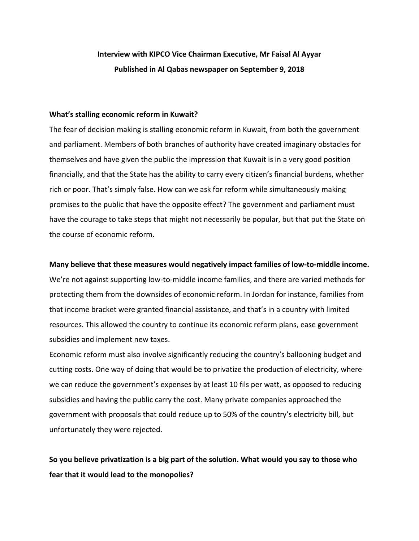# **Interview with KIPCO Vice Chairman Executive, Mr Faisal Al Ayyar Published in Al Qabas newspaper on September 9, 2018**

### **What's stalling economic reform in Kuwait?**

The fear of decision making is stalling economic reform in Kuwait, from both the government and parliament. Members of both branches of authority have created imaginary obstacles for themselves and have given the public the impression that Kuwait is in a very good position financially, and that the State has the ability to carry every citizen's financial burdens, whether rich or poor. That's simply false. How can we ask for reform while simultaneously making promises to the public that have the opposite effect? The government and parliament must have the courage to take steps that might not necessarily be popular, but that put the State on the course of economic reform.

### **Many believe that these measures would negatively impact families of low‐to‐middle income.**

We're not against supporting low-to-middle income families, and there are varied methods for protecting them from the downsides of economic reform. In Jordan for instance, families from that income bracket were granted financial assistance, and that's in a country with limited resources. This allowed the country to continue its economic reform plans, ease government subsidies and implement new taxes.

Economic reform must also involve significantly reducing the country's ballooning budget and cutting costs. One way of doing that would be to privatize the production of electricity, where we can reduce the government's expenses by at least 10 fils per watt, as opposed to reducing subsidies and having the public carry the cost. Many private companies approached the government with proposals that could reduce up to 50% of the country's electricity bill, but unfortunately they were rejected.

**So you believe privatization is a big part of the solution. What would you say to those who fear that it would lead to the monopolies?**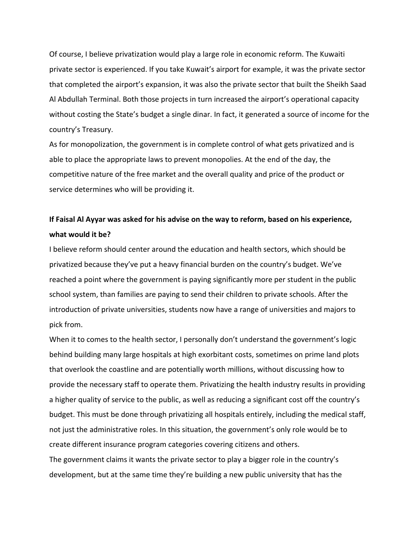Of course, I believe privatization would play a large role in economic reform. The Kuwaiti private sector is experienced. If you take Kuwait's airport for example, it was the private sector that completed the airport's expansion, it was also the private sector that built the Sheikh Saad Al Abdullah Terminal. Both those projects in turn increased the airport's operational capacity without costing the State's budget a single dinar. In fact, it generated a source of income for the country's Treasury.

As for monopolization, the government is in complete control of what gets privatized and is able to place the appropriate laws to prevent monopolies. At the end of the day, the competitive nature of the free market and the overall quality and price of the product or service determines who will be providing it.

# **If Faisal Al Ayyar was asked for his advise on the way to reform, based on his experience, what would it be?**

I believe reform should center around the education and health sectors, which should be privatized because they've put a heavy financial burden on the country's budget. We've reached a point where the government is paying significantly more per student in the public school system, than families are paying to send their children to private schools. After the introduction of private universities, students now have a range of universities and majors to pick from.

When it to comes to the health sector, I personally don't understand the government's logic behind building many large hospitals at high exorbitant costs, sometimes on prime land plots that overlook the coastline and are potentially worth millions, without discussing how to provide the necessary staff to operate them. Privatizing the health industry results in providing a higher quality of service to the public, as well as reducing a significant cost off the country's budget. This must be done through privatizing all hospitals entirely, including the medical staff, not just the administrative roles. In this situation, the government's only role would be to create different insurance program categories covering citizens and others. The government claims it wants the private sector to play a bigger role in the country's development, but at the same time they're building a new public university that has the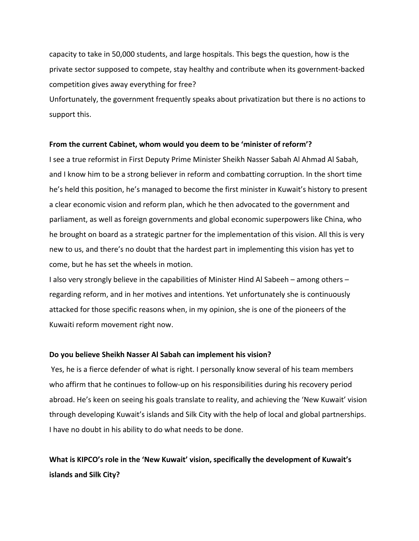capacity to take in 50,000 students, and large hospitals. This begs the question, how is the private sector supposed to compete, stay healthy and contribute when its government‐backed competition gives away everything for free?

Unfortunately, the government frequently speaks about privatization but there is no actions to support this.

### **From the current Cabinet, whom would you deem to be 'minister of reform'?**

I see a true reformist in First Deputy Prime Minister Sheikh Nasser Sabah Al Ahmad Al Sabah, and I know him to be a strong believer in reform and combatting corruption. In the short time he's held this position, he's managed to become the first minister in Kuwait's history to present a clear economic vision and reform plan, which he then advocated to the government and parliament, as well as foreign governments and global economic superpowers like China, who he brought on board as a strategic partner for the implementation of this vision. All this is very new to us, and there's no doubt that the hardest part in implementing this vision has yet to come, but he has set the wheels in motion.

I also very strongly believe in the capabilities of Minister Hind Al Sabeeh – among others – regarding reform, and in her motives and intentions. Yet unfortunately she is continuously attacked for those specific reasons when, in my opinion, she is one of the pioneers of the Kuwaiti reform movement right now.

### **Do you believe Sheikh Nasser Al Sabah can implement his vision?**

Yes, he is a fierce defender of what is right. I personally know several of his team members who affirm that he continues to follow-up on his responsibilities during his recovery period abroad. He's keen on seeing his goals translate to reality, and achieving the 'New Kuwait' vision through developing Kuwait's islands and Silk City with the help of local and global partnerships. I have no doubt in his ability to do what needs to be done.

**What is KIPCO's role in the 'New Kuwait' vision, specifically the development of Kuwait's islands and Silk City?**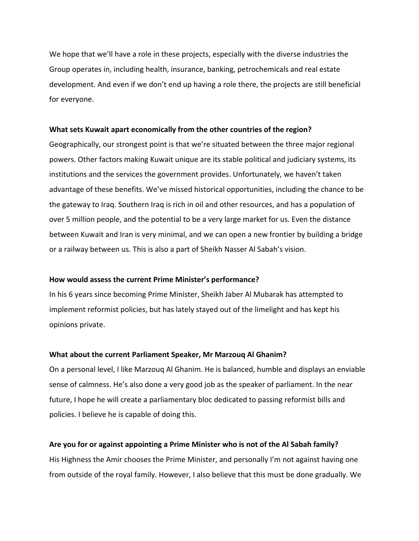We hope that we'll have a role in these projects, especially with the diverse industries the Group operates in, including health, insurance, banking, petrochemicals and real estate development. And even if we don't end up having a role there, the projects are still beneficial for everyone.

### **What sets Kuwait apart economically from the other countries of the region?**

Geographically, our strongest point is that we're situated between the three major regional powers. Other factors making Kuwait unique are its stable political and judiciary systems, its institutions and the services the government provides. Unfortunately, we haven't taken advantage of these benefits. We've missed historical opportunities, including the chance to be the gateway to Iraq. Southern Iraq is rich in oil and other resources, and has a population of over 5 million people, and the potential to be a very large market for us. Even the distance between Kuwait and Iran is very minimal, and we can open a new frontier by building a bridge or a railway between us. This is also a part of Sheikh Nasser Al Sabah's vision.

### **How would assess the current Prime Minister's performance?**

In his 6 years since becoming Prime Minister, Sheikh Jaber Al Mubarak has attempted to implement reformist policies, but has lately stayed out of the limelight and has kept his opinions private.

### **What about the current Parliament Speaker, Mr Marzouq Al Ghanim?**

On a personal level, I like Marzouq Al Ghanim. He is balanced, humble and displays an enviable sense of calmness. He's also done a very good job as the speaker of parliament. In the near future, I hope he will create a parliamentary bloc dedicated to passing reformist bills and policies. I believe he is capable of doing this.

### **Are you for or against appointing a Prime Minister who is not of the Al Sabah family?**

His Highness the Amir chooses the Prime Minister, and personally I'm not against having one from outside of the royal family. However, I also believe that this must be done gradually. We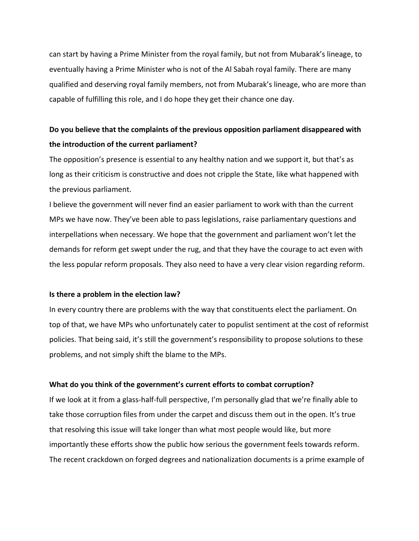can start by having a Prime Minister from the royal family, but not from Mubarak's lineage, to eventually having a Prime Minister who is not of the Al Sabah royal family. There are many qualified and deserving royal family members, not from Mubarak's lineage, who are more than capable of fulfilling this role, and I do hope they get their chance one day.

## **Do you believe that the complaints of the previous opposition parliament disappeared with the introduction of the current parliament?**

The opposition's presence is essential to any healthy nation and we support it, but that's as long as their criticism is constructive and does not cripple the State, like what happened with the previous parliament.

I believe the government will never find an easier parliament to work with than the current MPs we have now. They've been able to pass legislations, raise parliamentary questions and interpellations when necessary. We hope that the government and parliament won't let the demands for reform get swept under the rug, and that they have the courage to act even with the less popular reform proposals. They also need to have a very clear vision regarding reform.

### **Is there a problem in the election law?**

In every country there are problems with the way that constituents elect the parliament. On top of that, we have MPs who unfortunately cater to populist sentiment at the cost of reformist policies. That being said, it's still the government's responsibility to propose solutions to these problems, and not simply shift the blame to the MPs.

### **What do you think of the government's current efforts to combat corruption?**

If we look at it from a glass‐half‐full perspective, I'm personally glad that we're finally able to take those corruption files from under the carpet and discuss them out in the open. It's true that resolving this issue will take longer than what most people would like, but more importantly these efforts show the public how serious the government feels towards reform. The recent crackdown on forged degrees and nationalization documents is a prime example of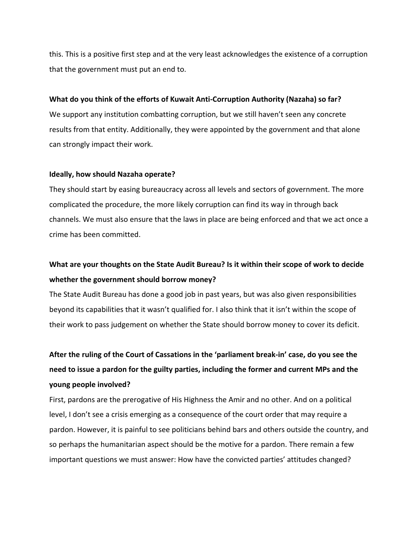this. This is a positive first step and at the very least acknowledges the existence of a corruption that the government must put an end to.

### **What do you think of the efforts of Kuwait Anti‐Corruption Authority (Nazaha) so far?**

We support any institution combatting corruption, but we still haven't seen any concrete results from that entity. Additionally, they were appointed by the government and that alone can strongly impact their work.

### **Ideally, how should Nazaha operate?**

They should start by easing bureaucracy across all levels and sectors of government. The more complicated the procedure, the more likely corruption can find its way in through back channels. We must also ensure that the laws in place are being enforced and that we act once a crime has been committed.

# **What are your thoughts on the State Audit Bureau? Is it within their scope of work to decide whether the government should borrow money?**

The State Audit Bureau has done a good job in past years, but was also given responsibilities beyond its capabilities that it wasn't qualified for. I also think that it isn't within the scope of their work to pass judgement on whether the State should borrow money to cover its deficit.

# After the ruling of the Court of Cassations in the 'parliament break-in' case, do you see the **need to issue a pardon for the guilty parties, including the former and current MPs and the young people involved?**

First, pardons are the prerogative of His Highness the Amir and no other. And on a political level, I don't see a crisis emerging as a consequence of the court order that may require a pardon. However, it is painful to see politicians behind bars and others outside the country, and so perhaps the humanitarian aspect should be the motive for a pardon. There remain a few important questions we must answer: How have the convicted parties' attitudes changed?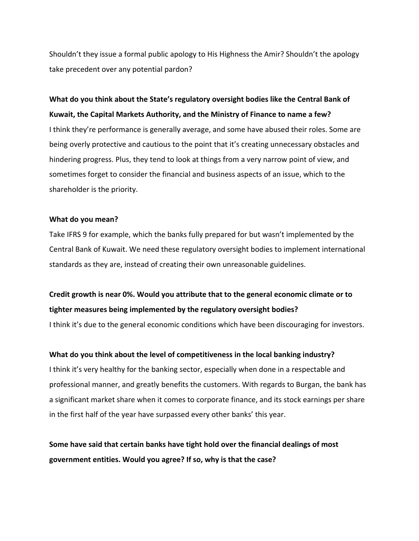Shouldn't they issue a formal public apology to His Highness the Amir? Shouldn't the apology take precedent over any potential pardon?

# **What do you think about the State's regulatory oversight bodies like the Central Bank of Kuwait, the Capital Markets Authority, and the Ministry of Finance to name a few?**

I think they're performance is generally average, and some have abused their roles. Some are being overly protective and cautious to the point that it's creating unnecessary obstacles and hindering progress. Plus, they tend to look at things from a very narrow point of view, and sometimes forget to consider the financial and business aspects of an issue, which to the shareholder is the priority.

## **What do you mean?**

Take IFRS 9 for example, which the banks fully prepared for but wasn't implemented by the Central Bank of Kuwait. We need these regulatory oversight bodies to implement international standards as they are, instead of creating their own unreasonable guidelines.

# **Credit growth is near 0%. Would you attribute that to the general economic climate or to tighter measures being implemented by the regulatory oversight bodies?**

I think it's due to the general economic conditions which have been discouraging for investors.

## **What do you think about the level of competitiveness in the local banking industry?**

I think it's very healthy for the banking sector, especially when done in a respectable and professional manner, and greatly benefits the customers. With regards to Burgan, the bank has a significant market share when it comes to corporate finance, and its stock earnings per share in the first half of the year have surpassed every other banks' this year.

# **Some have said that certain banks have tight hold over the financial dealings of most government entities. Would you agree? If so, why is that the case?**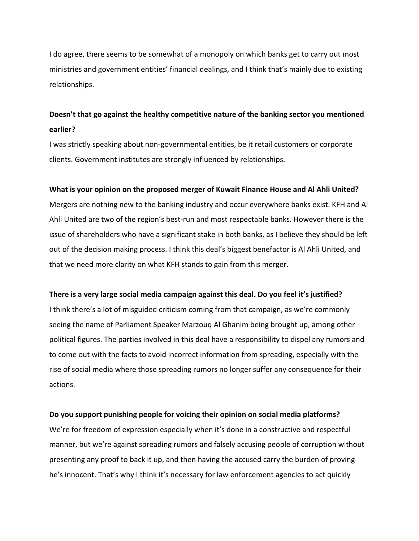I do agree, there seems to be somewhat of a monopoly on which banks get to carry out most ministries and government entities' financial dealings, and I think that's mainly due to existing relationships.

# **Doesn't that go against the healthy competitive nature of the banking sector you mentioned earlier?**

I was strictly speaking about non‐governmental entities, be it retail customers or corporate clients. Government institutes are strongly influenced by relationships.

### **What is your opinion on the proposed merger of Kuwait Finance House and Al Ahli United?**

Mergers are nothing new to the banking industry and occur everywhere banks exist. KFH and Al Ahli United are two of the region's best-run and most respectable banks. However there is the issue of shareholders who have a significant stake in both banks, as I believe they should be left out of the decision making process. I think this deal's biggest benefactor is Al Ahli United, and that we need more clarity on what KFH stands to gain from this merger.

### **There is a very large social media campaign against this deal. Do you feel it's justified?**

I think there's a lot of misguided criticism coming from that campaign, as we're commonly seeing the name of Parliament Speaker Marzouq Al Ghanim being brought up, among other political figures. The parties involved in this deal have a responsibility to dispel any rumors and to come out with the facts to avoid incorrect information from spreading, especially with the rise of social media where those spreading rumors no longer suffer any consequence for their actions.

### **Do you support punishing people for voicing their opinion on social media platforms?**

We're for freedom of expression especially when it's done in a constructive and respectful manner, but we're against spreading rumors and falsely accusing people of corruption without presenting any proof to back it up, and then having the accused carry the burden of proving he's innocent. That's why I think it's necessary for law enforcement agencies to act quickly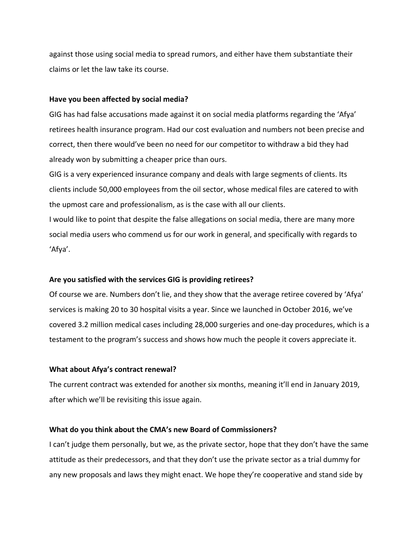against those using social media to spread rumors, and either have them substantiate their claims or let the law take its course.

### **Have you been affected by social media?**

GIG has had false accusations made against it on social media platforms regarding the 'Afya' retirees health insurance program. Had our cost evaluation and numbers not been precise and correct, then there would've been no need for our competitor to withdraw a bid they had already won by submitting a cheaper price than ours.

GIG is a very experienced insurance company and deals with large segments of clients. Its clients include 50,000 employees from the oil sector, whose medical files are catered to with the upmost care and professionalism, as is the case with all our clients.

I would like to point that despite the false allegations on social media, there are many more social media users who commend us for our work in general, and specifically with regards to 'Afya'.

### **Are you satisfied with the services GIG is providing retirees?**

Of course we are. Numbers don't lie, and they show that the average retiree covered by 'Afya' services is making 20 to 30 hospital visits a year. Since we launched in October 2016, we've covered 3.2 million medical cases including 28,000 surgeries and one‐day procedures, which is a testament to the program's success and shows how much the people it covers appreciate it.

### **What about Afya's contract renewal?**

The current contract was extended for another six months, meaning it'll end in January 2019, after which we'll be revisiting this issue again.

## **What do you think about the CMA's new Board of Commissioners?**

I can't judge them personally, but we, as the private sector, hope that they don't have the same attitude as their predecessors, and that they don't use the private sector as a trial dummy for any new proposals and laws they might enact. We hope they're cooperative and stand side by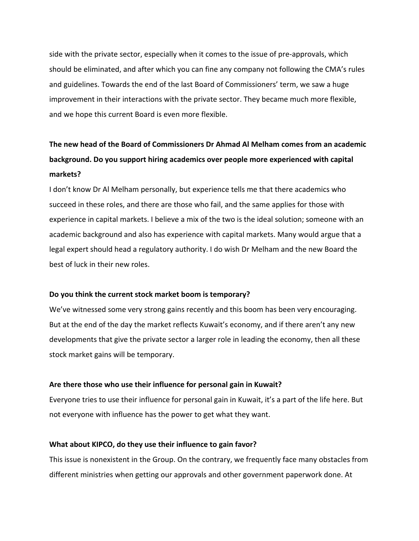side with the private sector, especially when it comes to the issue of pre‐approvals, which should be eliminated, and after which you can fine any company not following the CMA's rules and guidelines. Towards the end of the last Board of Commissioners' term, we saw a huge improvement in their interactions with the private sector. They became much more flexible, and we hope this current Board is even more flexible.

# **The new head of the Board of Commissioners Dr Ahmad Al Melham comes from an academic background. Do you support hiring academics over people more experienced with capital markets?**

I don't know Dr Al Melham personally, but experience tells me that there academics who succeed in these roles, and there are those who fail, and the same applies for those with experience in capital markets. I believe a mix of the two is the ideal solution; someone with an academic background and also has experience with capital markets. Many would argue that a legal expert should head a regulatory authority. I do wish Dr Melham and the new Board the best of luck in their new roles.

## **Do you think the current stock market boom is temporary?**

We've witnessed some very strong gains recently and this boom has been very encouraging. But at the end of the day the market reflects Kuwait's economy, and if there aren't any new developments that give the private sector a larger role in leading the economy, then all these stock market gains will be temporary.

### **Are there those who use their influence for personal gain in Kuwait?**

Everyone tries to use their influence for personal gain in Kuwait, it's a part of the life here. But not everyone with influence has the power to get what they want.

## **What about KIPCO, do they use their influence to gain favor?**

This issue is nonexistent in the Group. On the contrary, we frequently face many obstacles from different ministries when getting our approvals and other government paperwork done. At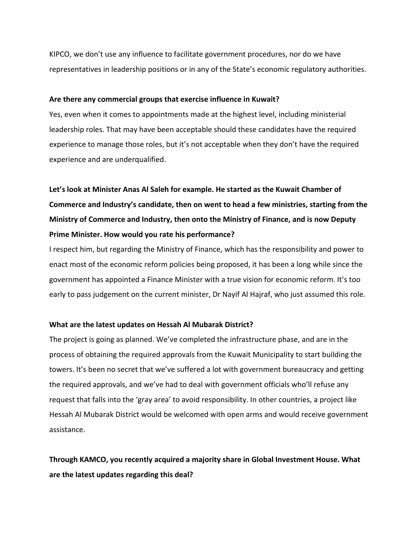KIPCO, we don't use any influence to facilitate government procedures, nor do we have representatives in leadership positions or in any of the State's economic regulatory authorities.

### **Are there any commercial groups that exercise influence in Kuwait?**

Yes, even when it comes to appointments made at the highest level, including ministerial leadership roles. That may have been acceptable should these candidates have the required experience to manage those roles, but it's not acceptable when they don't have the required experience and are underqualified.

**Let's look at Minister Anas Al Saleh for example. He started as the Kuwait Chamber of Commerce and Industry's candidate, then on went to head a few ministries, starting from the Ministry of Commerce and Industry, then onto the Ministry of Finance, and is now Deputy Prime Minister. How would you rate his performance?**

I respect him, but regarding the Ministry of Finance, which has the responsibility and power to enact most of the economic reform policies being proposed, it has been a long while since the government has appointed a Finance Minister with a true vision for economic reform. It's too early to pass judgement on the current minister, Dr Nayif Al Hajraf, who just assumed this role.

## **What are the latest updates on Hessah Al Mubarak District?**

The project is going as planned. We've completed the infrastructure phase, and are in the process of obtaining the required approvals from the Kuwait Municipality to start building the towers. It's been no secret that we've suffered a lot with government bureaucracy and getting the required approvals, and we've had to deal with government officials who'll refuse any request that falls into the 'gray area' to avoid responsibility. In other countries, a project like Hessah Al Mubarak District would be welcomed with open arms and would receive government assistance.

**Through KAMCO, you recently acquired a majority share in Global Investment House. What are the latest updates regarding this deal?**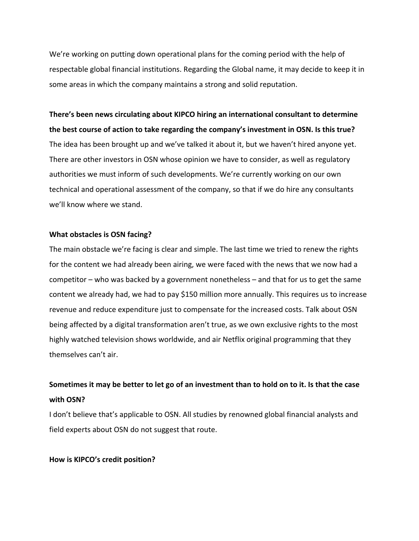We're working on putting down operational plans for the coming period with the help of respectable global financial institutions. Regarding the Global name, it may decide to keep it in some areas in which the company maintains a strong and solid reputation.

**There's been news circulating about KIPCO hiring an international consultant to determine the best course of action to take regarding the company's investment in OSN. Is this true?**  The idea has been brought up and we've talked it about it, but we haven't hired anyone yet. There are other investors in OSN whose opinion we have to consider, as well as regulatory authorities we must inform of such developments. We're currently working on our own technical and operational assessment of the company, so that if we do hire any consultants we'll know where we stand.

## **What obstacles is OSN facing?**

The main obstacle we're facing is clear and simple. The last time we tried to renew the rights for the content we had already been airing, we were faced with the news that we now had a competitor – who was backed by a government nonetheless – and that for us to get the same content we already had, we had to pay \$150 million more annually. This requires us to increase revenue and reduce expenditure just to compensate for the increased costs. Talk about OSN being affected by a digital transformation aren't true, as we own exclusive rights to the most highly watched television shows worldwide, and air Netflix original programming that they themselves can't air.

# Sometimes it may be better to let go of an investment than to hold on to it. Is that the case **with OSN?**

I don't believe that's applicable to OSN. All studies by renowned global financial analysts and field experts about OSN do not suggest that route.

### **How is KIPCO's credit position?**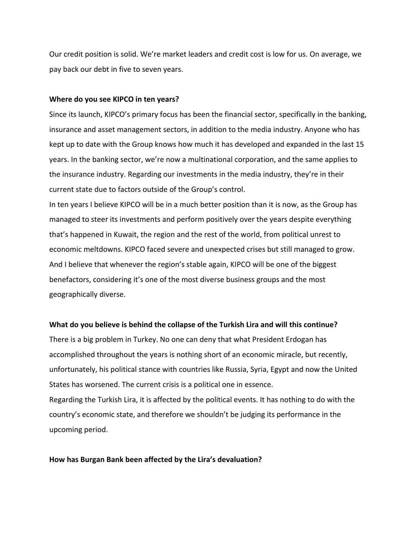Our credit position is solid. We're market leaders and credit cost is low for us. On average, we pay back our debt in five to seven years.

### **Where do you see KIPCO in ten years?**

Since its launch, KIPCO's primary focus has been the financial sector, specifically in the banking, insurance and asset management sectors, in addition to the media industry. Anyone who has kept up to date with the Group knows how much it has developed and expanded in the last 15 years. In the banking sector, we're now a multinational corporation, and the same applies to the insurance industry. Regarding our investments in the media industry, they're in their current state due to factors outside of the Group's control.

In ten years I believe KIPCO will be in a much better position than it is now, as the Group has managed to steer its investments and perform positively over the years despite everything that's happened in Kuwait, the region and the rest of the world, from political unrest to economic meltdowns. KIPCO faced severe and unexpected crises but still managed to grow. And I believe that whenever the region's stable again, KIPCO will be one of the biggest benefactors, considering it's one of the most diverse business groups and the most geographically diverse.

#### **What do you believe is behind the collapse of the Turkish Lira and will this continue?**

There is a big problem in Turkey. No one can deny that what President Erdogan has accomplished throughout the years is nothing short of an economic miracle, but recently, unfortunately, his political stance with countries like Russia, Syria, Egypt and now the United States has worsened. The current crisis is a political one in essence. Regarding the Turkish Lira, it is affected by the political events. It has nothing to do with the country's economic state, and therefore we shouldn't be judging its performance in the upcoming period.

#### **How has Burgan Bank been affected by the Lira's devaluation?**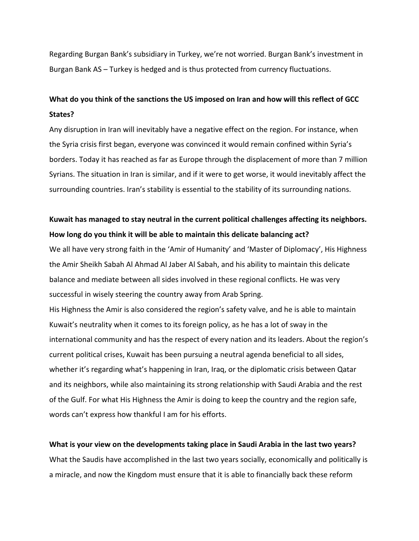Regarding Burgan Bank's subsidiary in Turkey, we're not worried. Burgan Bank's investment in Burgan Bank AS – Turkey is hedged and is thus protected from currency fluctuations.

# **What do you think of the sanctions the US imposed on Iran and how will this reflect of GCC States?**

Any disruption in Iran will inevitably have a negative effect on the region. For instance, when the Syria crisis first began, everyone was convinced it would remain confined within Syria's borders. Today it has reached as far as Europe through the displacement of more than 7 million Syrians. The situation in Iran is similar, and if it were to get worse, it would inevitably affect the surrounding countries. Iran's stability is essential to the stability of its surrounding nations.

# **Kuwait has managed to stay neutral in the current political challenges affecting its neighbors. How long do you think it will be able to maintain this delicate balancing act?**

We all have very strong faith in the 'Amir of Humanity' and 'Master of Diplomacy', His Highness the Amir Sheikh Sabah Al Ahmad Al Jaber Al Sabah, and his ability to maintain this delicate balance and mediate between all sides involved in these regional conflicts. He was very successful in wisely steering the country away from Arab Spring.

His Highness the Amir is also considered the region's safety valve, and he is able to maintain Kuwait's neutrality when it comes to its foreign policy, as he has a lot of sway in the international community and has the respect of every nation and its leaders. About the region's current political crises, Kuwait has been pursuing a neutral agenda beneficial to all sides, whether it's regarding what's happening in Iran, Iraq, or the diplomatic crisis between Qatar and its neighbors, while also maintaining its strong relationship with Saudi Arabia and the rest of the Gulf. For what His Highness the Amir is doing to keep the country and the region safe, words can't express how thankful I am for his efforts.

## **What is your view on the developments taking place in Saudi Arabia in the last two years?**

What the Saudis have accomplished in the last two years socially, economically and politically is a miracle, and now the Kingdom must ensure that it is able to financially back these reform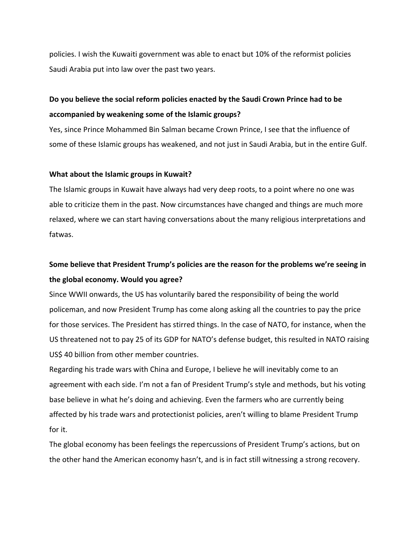policies. I wish the Kuwaiti government was able to enact but 10% of the reformist policies Saudi Arabia put into law over the past two years.

# **Do you believe the social reform policies enacted by the Saudi Crown Prince had to be accompanied by weakening some of the Islamic groups?**

Yes, since Prince Mohammed Bin Salman became Crown Prince, I see that the influence of some of these Islamic groups has weakened, and not just in Saudi Arabia, but in the entire Gulf.

### **What about the Islamic groups in Kuwait?**

The Islamic groups in Kuwait have always had very deep roots, to a point where no one was able to criticize them in the past. Now circumstances have changed and things are much more relaxed, where we can start having conversations about the many religious interpretations and fatwas.

# **Some believe that President Trump's policies are the reason for the problems we're seeing in the global economy. Would you agree?**

Since WWII onwards, the US has voluntarily bared the responsibility of being the world policeman, and now President Trump has come along asking all the countries to pay the price for those services. The President has stirred things. In the case of NATO, for instance, when the US threatened not to pay 25 of its GDP for NATO's defense budget, this resulted in NATO raising US\$ 40 billion from other member countries.

Regarding his trade wars with China and Europe, I believe he will inevitably come to an agreement with each side. I'm not a fan of President Trump's style and methods, but his voting base believe in what he's doing and achieving. Even the farmers who are currently being affected by his trade wars and protectionist policies, aren't willing to blame President Trump for it.

The global economy has been feelings the repercussions of President Trump's actions, but on the other hand the American economy hasn't, and is in fact still witnessing a strong recovery.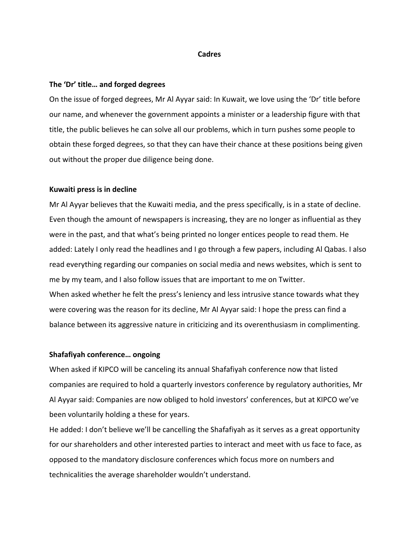### **Cadres**

### **The 'Dr' title… and forged degrees**

On the issue of forged degrees, Mr Al Ayyar said: In Kuwait, we love using the 'Dr' title before our name, and whenever the government appoints a minister or a leadership figure with that title, the public believes he can solve all our problems, which in turn pushes some people to obtain these forged degrees, so that they can have their chance at these positions being given out without the proper due diligence being done.

### **Kuwaiti press is in decline**

Mr Al Ayyar believes that the Kuwaiti media, and the press specifically, is in a state of decline. Even though the amount of newspapers is increasing, they are no longer as influential as they were in the past, and that what's being printed no longer entices people to read them. He added: Lately I only read the headlines and I go through a few papers, including Al Qabas. I also read everything regarding our companies on social media and news websites, which is sent to me by my team, and I also follow issues that are important to me on Twitter. When asked whether he felt the press's leniency and less intrusive stance towards what they were covering was the reason for its decline, Mr Al Ayyar said: I hope the press can find a balance between its aggressive nature in criticizing and its overenthusiasm in complimenting.

### **Shafafiyah conference… ongoing**

When asked if KIPCO will be canceling its annual Shafafiyah conference now that listed companies are required to hold a quarterly investors conference by regulatory authorities, Mr Al Ayyar said: Companies are now obliged to hold investors' conferences, but at KIPCO we've been voluntarily holding a these for years.

He added: I don't believe we'll be cancelling the Shafafiyah as it serves as a great opportunity for our shareholders and other interested parties to interact and meet with us face to face, as opposed to the mandatory disclosure conferences which focus more on numbers and technicalities the average shareholder wouldn't understand.